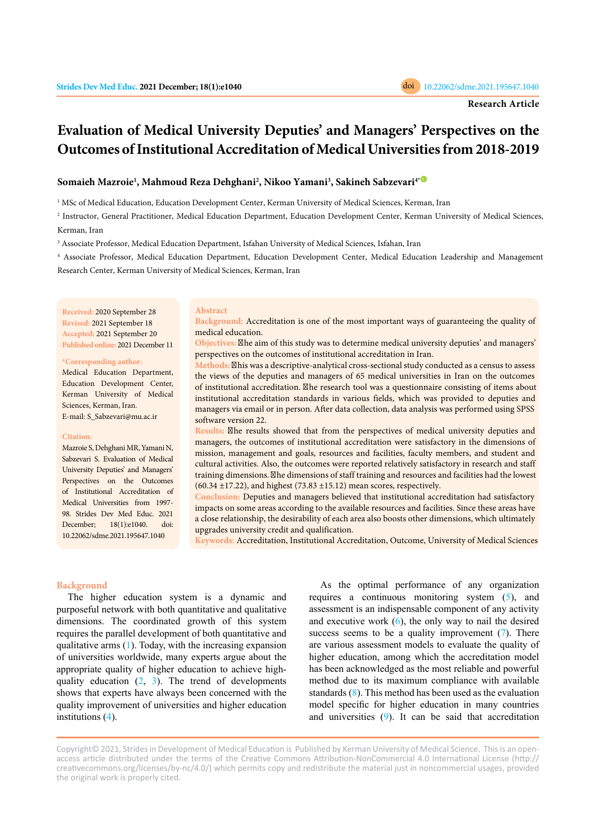# **Evaluation of Medical University Deputies' and Managers' Perspectives on the Outcomes of Institutional Accreditation of Medical Universities from 2018-2019**

# **Somaieh Mazroie<sup>1</sup> , Mahmoud Reza Dehghani<sup>2</sup> , Nikoo Yamani<sup>3</sup> , Sakineh Sabzevari4[\\*](https://orcid.org/0000-0002-9021-7101)**

<sup>1</sup> MSc of Medical Education, Education Development Center, Kerman University of Medical Sciences, Kerman, Iran

2 Instructor, General Practitioner, Medical Education Department, Education Development Center, Kerman University of Medical Sciences, Kerman, Iran

3 Associate Professor, Medical Education Department, Isfahan University of Medical Sciences, Isfahan, Iran

<sup>4</sup> Associate Professor, Medical Education Department, Education Development Center, Medical Education Leadership and Management Research Center, Kerman University of Medical Sciences, Kerman, Iran

**Received:** 2020 September 28 **Revised:** 2021 September 18 **Accepted:** 2021 September 20 **Published online:** 2021 December 11

#### **\*Corresponding author:**

Medical Education Department, Education Development Center, Kerman University of Medical Sciences, Kerman, Iran. E-mail: S\_Sabzevari@mu.ac.ir

#### **Citation:**

Mazroie S, Dehghani MR, Yamani N, Sabzevari S. Evaluation of Medical University Deputies' and Managers' Perspectives on the Outcomes of Institutional Accreditation of Medical Universities from 1997- 98. Strides Dev Med Educ. 2021 December; 18(1):e1040. doi: 10.22062/sdme.2021.195647.1040

## **Abstract**

**Background:** Accreditation is one of the most important ways of guaranteeing the quality of medical education.

Objectives: <sup>*The aim of this study was to determine medical university deputies' and managers'*</sup> perspectives on the outcomes of institutional accreditation in Iran.

Methods: **X**his was a descriptive-analytical cross-sectional study conducted as a census to assess the views of the deputies and managers of 65 medical universities in Iran on the outcomes of institutional accreditation. <sup>Mhe</sup> research tool was a questionnaire consisting of items about institutional accreditation standards in various fields, which was provided to deputies and managers via email or in person. After data collection, data analysis was performed using SPSS software version 22.

**Results: Zhe results showed that from the perspectives of medical university deputies and** managers, the outcomes of institutional accreditation were satisfactory in the dimensions of mission, management and goals, resources and facilities, faculty members, and student and cultural activities. Also, the outcomes were reported relatively satisfactory in research and staff training dimensions. Ahe dimensions of staff training and resources and facilities had the lowest  $(60.34 \pm 17.22)$ , and highest  $(73.83 \pm 15.12)$  mean scores, respectively.

**Conclusion:** Deputies and managers believed that institutional accreditation had satisfactory impacts on some areas according to the available resources and facilities. Since these areas have a close relationship, the desirability of each area also boosts other dimensions, which ultimately upgrades university credit and qualification.

**Keywords:** Accreditation, Institutional Accreditation, Outcome, University of Medical Sciences

## **Background**

The higher education system is a dynamic and purposeful network with both quantitative and qualitative dimensions. The coordinated growth of this system requires the parallel development of both quantitative and qualitative arms ([1\)](#page-5-0). Today, with the increasing expansion of universities worldwide, many experts argue about the appropriate quality of higher education to achieve highquality education  $(2, 3)$  $(2, 3)$  $(2, 3)$  $(2, 3)$ . The trend of developments shows that experts have always been concerned with the quality improvement of universities and higher education institutions ([4\)](#page-5-0).

As the optimal performance of any organization requires a continuous monitoring system ([5\)](#page-5-0), and assessment is an indispensable component of any activity and executive work  $(6)$  $(6)$ , the only way to nail the desired success seems to be a quality improvement ([7\)](#page-5-0). There are various assessment models to evaluate the quality of higher education, among which the accreditation model has been acknowledged as the most reliable and powerful method due to its maximum compliance with available standards ([8\)](#page-5-0). This method has been used as the evaluation model specific for higher education in many countries and universities  $(9)$  $(9)$ . It can be said that accreditation

Copyright© 2021, Strides in Development of Medical Education is Published by Kerman University of Medical Science. This is an openaccess article distributed under the terms of the Creative Commons Attribution-NonCommercial 4.0 International License (http:// creativecommons.org/licenses/by-nc/4.0/) which permits copy and redistribute the material just in noncommercial usages, provided the original work is properly cited.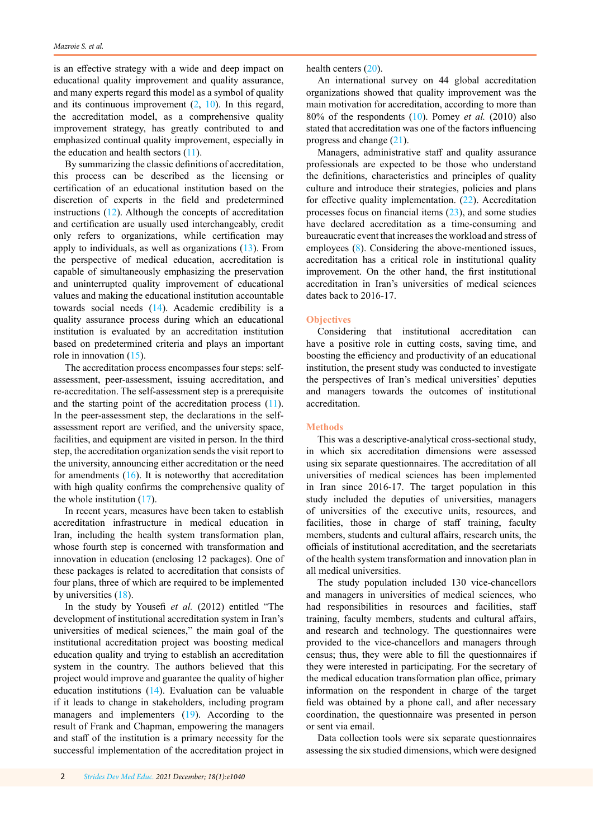is an effective strategy with a wide and deep impact on educational quality improvement and quality assurance, and many experts regard this model as a symbol of quality and its continuous improvement  $(2, 10)$  $(2, 10)$  $(2, 10)$  $(2, 10)$  $(2, 10)$ . In this regard, the accreditation model, as a comprehensive quality improvement strategy, has greatly contributed to and emphasized continual quality improvement, especially in the education and health sectors  $(11)$  $(11)$ .

By summarizing the classic definitions of accreditation, this process can be described as the licensing or certification of an educational institution based on the discretion of experts in the field and predetermined instructions  $(12)$  $(12)$ . Although the concepts of accreditation and certification are usually used interchangeably, credit only refers to organizations, while certification may apply to individuals, as well as organizations [\(13](#page-5-0)). From the perspective of medical education, accreditation is capable of simultaneously emphasizing the preservation and uninterrupted quality improvement of educational values and making the educational institution accountable towards social needs ([14\)](#page-5-0). Academic credibility is a quality assurance process during which an educational institution is evaluated by an accreditation institution based on predetermined criteria and plays an important role in innovation ([15\)](#page-5-0).

The accreditation process encompasses four steps: selfassessment, peer-assessment, issuing accreditation, and re-accreditation. The self-assessment step is a prerequisite and the starting point of the accreditation process [\(11](#page-5-0)). In the peer-assessment step, the declarations in the selfassessment report are verified, and the university space, facilities, and equipment are visited in person. In the third step, the accreditation organization sends the visit report to the university, announcing either accreditation or the need for amendments [\(16](#page-5-0)). It is noteworthy that accreditation with high quality confirms the comprehensive quality of the whole institution ([17\)](#page-5-0).

In recent years, measures have been taken to establish accreditation infrastructure in medical education in Iran, including the health system transformation plan, whose fourth step is concerned with transformation and innovation in education (enclosing 12 packages). One of these packages is related to accreditation that consists of four plans, three of which are required to be implemented by universities [\(18](#page-5-0)).

In the study by Yousefi *et al.* (2012) entitled "The development of institutional accreditation system in Iran's universities of medical sciences," the main goal of the institutional accreditation project was boosting medical education quality and trying to establish an accreditation system in the country. The authors believed that this project would improve and guarantee the quality of higher education institutions ([14\)](#page-5-0). Evaluation can be valuable if it leads to change in stakeholders, including program managers and implementers ([19\)](#page-5-0). According to the result of Frank and Chapman, empowering the managers and staff of the institution is a primary necessity for the successful implementation of the accreditation project in

health centers ([20\)](#page-5-0).

An international survey on 44 global accreditation organizations showed that quality improvement was the main motivation for accreditation, according to more than 80% of the respondents [\(10](#page-5-0)). Pomey *et al.* (2010) also stated that accreditation was one of the factors influencing progress and change [\(21](#page-6-0)).

Managers, administrative staff and quality assurance professionals are expected to be those who understand the definitions, characteristics and principles of quality culture and introduce their strategies, policies and plans for effective quality implementation. ([22](#page-6-0)). Accreditation processes focus on financial items ([23](#page-6-0)), and some studies have declared accreditation as a time-consuming and bureaucratic event that increases the workload and stress of employees [\(8](#page-5-0)). Considering the above-mentioned issues, accreditation has a critical role in institutional quality improvement. On the other hand, the first institutional accreditation in Iran's universities of medical sciences dates back to 2016-17.

# **Objectives**

Considering that institutional accreditation can have a positive role in cutting costs, saving time, and boosting the efficiency and productivity of an educational institution, the present study was conducted to investigate the perspectives of Iran's medical universities' deputies and managers towards the outcomes of institutional accreditation.

# **Methods**

This was a descriptive-analytical cross-sectional study, in which six accreditation dimensions were assessed using six separate questionnaires. The accreditation of all universities of medical sciences has been implemented in Iran since 2016-17. The target population in this study included the deputies of universities, managers of universities of the executive units, resources, and facilities, those in charge of staff training, faculty members, students and cultural affairs, research units, the officials of institutional accreditation, and the secretariats of the health system transformation and innovation plan in all medical universities.

The study population included 130 vice-chancellors and managers in universities of medical sciences, who had responsibilities in resources and facilities, staff training, faculty members, students and cultural affairs, and research and technology. The questionnaires were provided to the vice-chancellors and managers through census; thus, they were able to fill the questionnaires if they were interested in participating. For the secretary of the medical education transformation plan office, primary information on the respondent in charge of the target field was obtained by a phone call, and after necessary coordination, the questionnaire was presented in person or sent via email.

Data collection tools were six separate questionnaires assessing the six studied dimensions, which were designed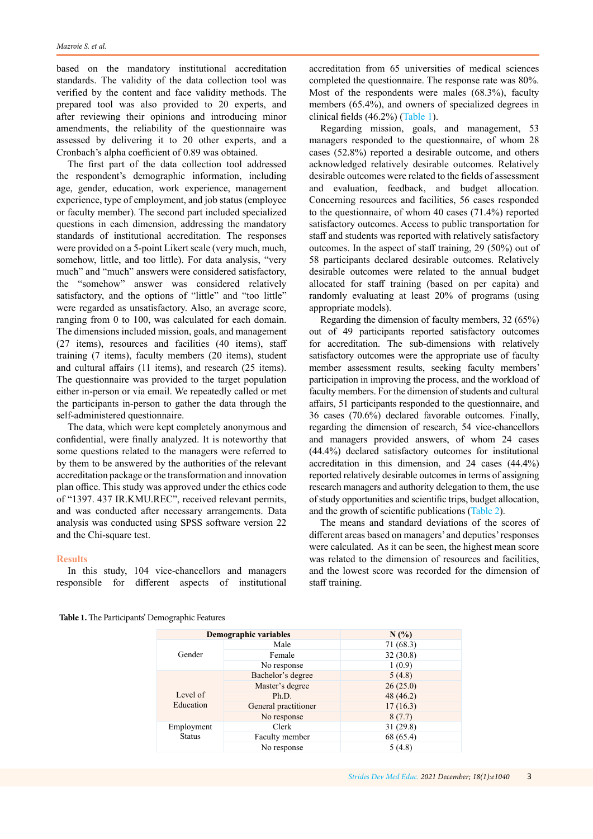based on the mandatory institutional accreditation standards. The validity of the data collection tool was verified by the content and face validity methods. The prepared tool was also provided to 20 experts, and after reviewing their opinions and introducing minor amendments, the reliability of the questionnaire was assessed by delivering it to 20 other experts, and a Cronbach's alpha coefficient of 0.89 was obtained.

The first part of the data collection tool addressed the respondent's demographic information, including age, gender, education, work experience, management experience, type of employment, and job status (employee or faculty member). The second part included specialized questions in each dimension, addressing the mandatory standards of institutional accreditation. The responses were provided on a 5-point Likert scale (very much, much, somehow, little, and too little). For data analysis, "very much" and "much" answers were considered satisfactory, the "somehow" answer was considered relatively satisfactory, and the options of "little" and "too little" were regarded as unsatisfactory. Also, an average score, ranging from 0 to 100, was calculated for each domain. The dimensions included mission, goals, and management (27 items), resources and facilities (40 items), staff training (7 items), faculty members (20 items), student and cultural affairs (11 items), and research (25 items). The questionnaire was provided to the target population either in-person or via email. We repeatedly called or met the participants in-person to gather the data through the self-administered questionnaire.

The data, which were kept completely anonymous and confidential, were finally analyzed. It is noteworthy that some questions related to the managers were referred to by them to be answered by the authorities of the relevant accreditation package or the transformation and innovation plan office. This study was approved under the ethics code of "1397. 437 IR.KMU.REC", received relevant permits, and was conducted after necessary arrangements. Data analysis was conducted using SPSS software version 22 and the Chi-square test.

### **Results**

In this study, 104 vice-chancellors and managers responsible for different aspects of institutional

accreditation from 65 universities of medical sciences completed the questionnaire. The response rate was 80%. Most of the respondents were males (68.3%), faculty members (65.4%), and owners of specialized degrees in clinical fields (46.2%) (Table 1).

Regarding mission, goals, and management, 53 managers responded to the questionnaire, of whom 28 cases (52.8%) reported a desirable outcome, and others acknowledged relatively desirable outcomes. Relatively desirable outcomes were related to the fields of assessment and evaluation, feedback, and budget allocation. Concerning resources and facilities, 56 cases responded to the questionnaire, of whom 40 cases (71.4%) reported satisfactory outcomes. Access to public transportation for staff and students was reported with relatively satisfactory outcomes. In the aspect of staff training, 29 (50%) out of 58 participants declared desirable outcomes. Relatively desirable outcomes were related to the annual budget allocated for staff training (based on per capita) and randomly evaluating at least 20% of programs (using appropriate models).

Regarding the dimension of faculty members, 32 (65%) out of 49 participants reported satisfactory outcomes for accreditation. The sub-dimensions with relatively satisfactory outcomes were the appropriate use of faculty member assessment results, seeking faculty members' participation in improving the process, and the workload of faculty members. For the dimension of students and cultural affairs, 51 participants responded to the questionnaire, and 36 cases (70.6%) declared favorable outcomes. Finally, regarding the dimension of research, 54 vice-chancellors and managers provided answers, of whom 24 cases (44.4%) declared satisfactory outcomes for institutional accreditation in this dimension, and 24 cases (44.4%) reported relatively desirable outcomes in terms of assigning research managers and authority delegation to them, the use of study opportunities and scientific trips, budget allocation, and the growth of scientific publications ([Table 2\)](#page-3-0).

The means and standard deviations of the scores of different areas based on managers' and deputies' responses were calculated. As it can be seen, the highest mean score was related to the dimension of resources and facilities, and the lowest score was recorded for the dimension of staff training.

|                             | Demographic variables | N(%       |  |
|-----------------------------|-----------------------|-----------|--|
| Gender                      | Male                  | 71 (68.3) |  |
|                             | Female                | 32(30.8)  |  |
|                             | No response           | 1(0.9)    |  |
| Level of<br>Education       | Bachelor's degree     | 5(4.8)    |  |
|                             | Master's degree       | 26(25.0)  |  |
|                             | Ph.D.                 | 48 (46.2) |  |
|                             | General practitioner  | 17(16.3)  |  |
|                             | No response           | 8(7.7)    |  |
| Employment<br><b>Status</b> | Clerk                 | 31 (29.8) |  |
|                             | Faculty member        | 68 (65.4) |  |
|                             | No response           | 5(4.8)    |  |

**Table 1.** The Participants' Demographic Features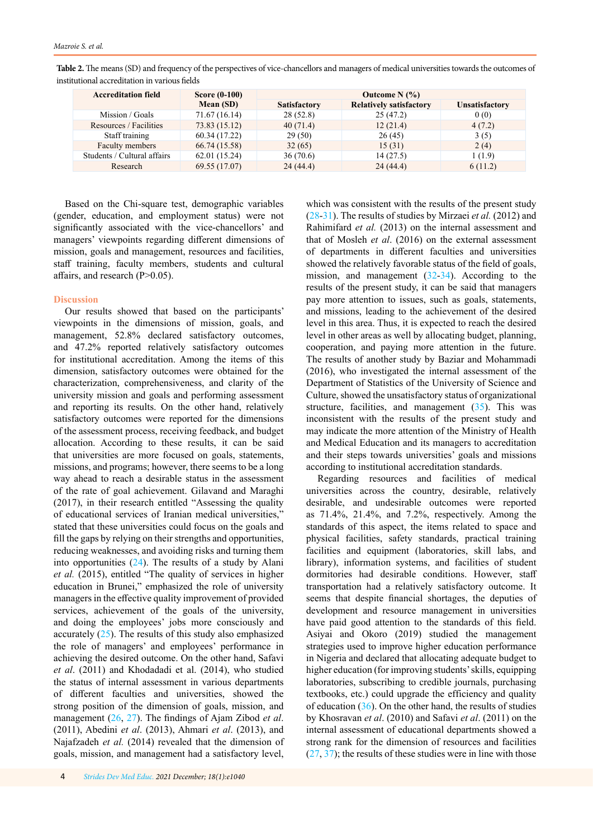| <b>Accreditation field</b>  | <b>Score (0-100)</b> | Outcome $N(%$       |                                |                       |
|-----------------------------|----------------------|---------------------|--------------------------------|-----------------------|
|                             | Mean (SD)            | <b>Satisfactory</b> | <b>Relatively satisfactory</b> | <b>Unsatisfactory</b> |
| Mission / Goals             | 71.67 (16.14)        | 28(52.8)            | 25(47.2)                       | 0(0)                  |
| Resources / Facilities      | 73.83 (15.12)        | 40(71.4)            | 12(21.4)                       | 4(7.2)                |
| Staff training              | 60.34 (17.22)        | 29(50)              | 26(45)                         | 3(5)                  |
| Faculty members             | 66.74 (15.58)        | 32(65)              | 15(31)                         | 2(4)                  |
| Students / Cultural affairs | 62.01(15.24)         | 36(70.6)            | 14(27.5)                       | 1(1.9)                |
| Research                    | 69.55 (17.07)        | 24(44.4)            | 24(44.4)                       | 6(11.2)               |

<span id="page-3-0"></span>**Table 2.** The means (SD) and frequency of the perspectives of vice-chancellors and managers of medical universities towards the outcomes of institutional accreditation in various fields

Based on the Chi-square test, demographic variables (gender, education, and employment status) were not significantly associated with the vice-chancellors' and managers' viewpoints regarding different dimensions of mission, goals and management, resources and facilities, staff training, faculty members, students and cultural affairs, and research (P>0.05).

# **Discussion**

Our results showed that based on the participants' viewpoints in the dimensions of mission, goals, and management, 52.8% declared satisfactory outcomes, and 47.2% reported relatively satisfactory outcomes for institutional accreditation. Among the items of this dimension, satisfactory outcomes were obtained for the characterization, comprehensiveness, and clarity of the university mission and goals and performing assessment and reporting its results. On the other hand, relatively satisfactory outcomes were reported for the dimensions of the assessment process, receiving feedback, and budget allocation. According to these results, it can be said that universities are more focused on goals, statements, missions, and programs; however, there seems to be a long way ahead to reach a desirable status in the assessment of the rate of goal achievement. Gilavand and Maraghi (2017), in their research entitled "Assessing the quality of educational services of Iranian medical universities," stated that these universities could focus on the goals and fill the gaps by relying on their strengths and opportunities, reducing weaknesses, and avoiding risks and turning them into opportunities ([24\)](#page-6-0). The results of a study by Alani *et al.* (2015), entitled "The quality of services in higher education in Brunei," emphasized the role of university managers in the effective quality improvement of provided services, achievement of the goals of the university, and doing the employees' jobs more consciously and accurately  $(25)$  $(25)$ . The results of this study also emphasized the role of managers' and employees' performance in achieving the desired outcome. On the other hand, Safavi *et al*. (2011) and Khodadadi et al. (2014), who studied the status of internal assessment in various departments of different faculties and universities, showed the strong position of the dimension of goals, mission, and management ([26,](#page-6-0) [27](#page-6-0)). The findings of Ajam Zibod *et al*. (2011), Abedini *et al*. (2013), Ahmari *et al*. (2013), and Najafzadeh *et al.* (2014) revealed that the dimension of goals, mission, and management had a satisfactory level,

which was consistent with the results of the present study ([28-31](#page-6-0)). The results of studies by Mirzaei *et al.* (2012) and Rahimifard *et al.* (2013) on the internal assessment and that of Mosleh *et al*. (2016) on the external assessment of departments in different faculties and universities showed the relatively favorable status of the field of goals, mission, and management ([32-34](#page-6-0)). According to the results of the present study, it can be said that managers pay more attention to issues, such as goals, statements, and missions, leading to the achievement of the desired level in this area. Thus, it is expected to reach the desired level in other areas as well by allocating budget, planning, cooperation, and paying more attention in the future. The results of another study by Baziar and Mohammadi (2016), who investigated the internal assessment of the Department of Statistics of the University of Science and Culture, showed the unsatisfactory status of organizational structure, facilities, and management ([35\)](#page-6-0). This was inconsistent with the results of the present study and may indicate the more attention of the Ministry of Health and Medical Education and its managers to accreditation and their steps towards universities' goals and missions according to institutional accreditation standards.

Regarding resources and facilities of medical universities across the country, desirable, relatively desirable, and undesirable outcomes were reported as 71.4%, 21.4%, and 7.2%, respectively. Among the standards of this aspect, the items related to space and physical facilities, safety standards, practical training facilities and equipment (laboratories, skill labs, and library), information systems, and facilities of student dormitories had desirable conditions. However, staff transportation had a relatively satisfactory outcome. It seems that despite financial shortages, the deputies of development and resource management in universities have paid good attention to the standards of this field. Asiyai and Okoro (2019) studied the management strategies used to improve higher education performance in Nigeria and declared that allocating adequate budget to higher education (for improving students' skills, equipping laboratories, subscribing to credible journals, purchasing textbooks, etc.) could upgrade the efficiency and quality of education  $(36)$  $(36)$ . On the other hand, the results of studies by Khosravan *et al*. (2010) and Safavi *et al*. (2011) on the internal assessment of educational departments showed a strong rank for the dimension of resources and facilities  $(27, 37)$  $(27, 37)$  $(27, 37)$ ; the results of these studies were in line with those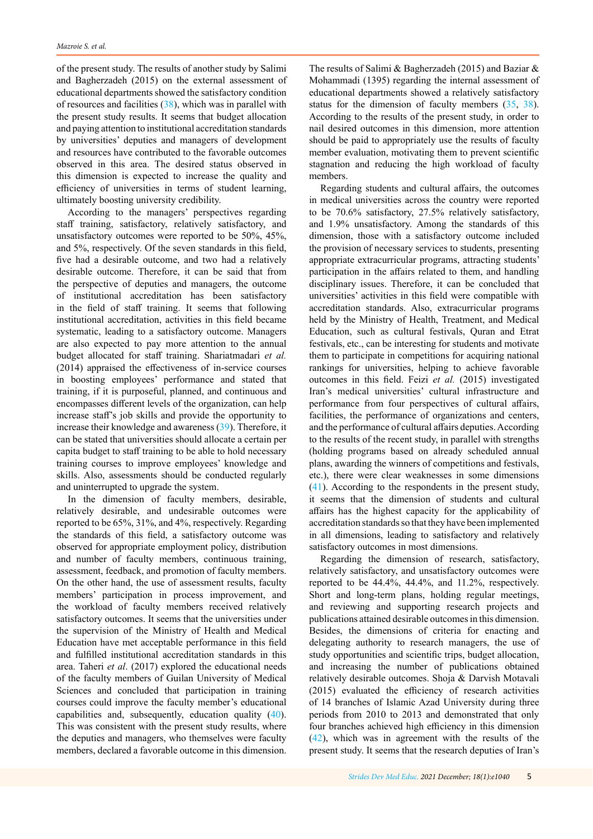of the present study. The results of another study by Salimi and Bagherzadeh (2015) on the external assessment of educational departments showed the satisfactory condition of resources and facilities [\(38](#page-6-0)), which was in parallel with the present study results. It seems that budget allocation and paying attention to institutional accreditation standards by universities' deputies and managers of development and resources have contributed to the favorable outcomes observed in this area. The desired status observed in this dimension is expected to increase the quality and efficiency of universities in terms of student learning, ultimately boosting university credibility.

According to the managers' perspectives regarding staff training, satisfactory, relatively satisfactory, and unsatisfactory outcomes were reported to be 50%, 45%, and 5%, respectively. Of the seven standards in this field, five had a desirable outcome, and two had a relatively desirable outcome. Therefore, it can be said that from the perspective of deputies and managers, the outcome of institutional accreditation has been satisfactory in the field of staff training. It seems that following institutional accreditation, activities in this field became systematic, leading to a satisfactory outcome. Managers are also expected to pay more attention to the annual budget allocated for staff training. Shariatmadari *et al.* (2014) appraised the effectiveness of in-service courses in boosting employees' performance and stated that training, if it is purposeful, planned, and continuous and encompasses different levels of the organization, can help increase staff's job skills and provide the opportunity to increase their knowledge and awareness ([39\)](#page-6-0). Therefore, it can be stated that universities should allocate a certain per capita budget to staff training to be able to hold necessary training courses to improve employees' knowledge and skills. Also, assessments should be conducted regularly and uninterrupted to upgrade the system.

In the dimension of faculty members, desirable, relatively desirable, and undesirable outcomes were reported to be 65%, 31%, and 4%, respectively. Regarding the standards of this field, a satisfactory outcome was observed for appropriate employment policy, distribution and number of faculty members, continuous training, assessment, feedback, and promotion of faculty members. On the other hand, the use of assessment results, faculty members' participation in process improvement, and the workload of faculty members received relatively satisfactory outcomes. It seems that the universities under the supervision of the Ministry of Health and Medical Education have met acceptable performance in this field and fulfilled institutional accreditation standards in this area. Taheri *et al*. (2017) explored the educational needs of the faculty members of Guilan University of Medical Sciences and concluded that participation in training courses could improve the faculty member's educational capabilities and, subsequently, education quality ([40\)](#page-6-0). This was consistent with the present study results, where the deputies and managers, who themselves were faculty members, declared a favorable outcome in this dimension.

The results of Salimi & Bagherzadeh (2015) and Baziar & Mohammadi (1395) regarding the internal assessment of educational departments showed a relatively satisfactory status for the dimension of faculty members [\(35](#page-6-0), [38\)](#page-6-0). According to the results of the present study, in order to nail desired outcomes in this dimension, more attention should be paid to appropriately use the results of faculty member evaluation, motivating them to prevent scientific stagnation and reducing the high workload of faculty members.

Regarding students and cultural affairs, the outcomes in medical universities across the country were reported to be 70.6% satisfactory, 27.5% relatively satisfactory, and 1.9% unsatisfactory. Among the standards of this dimension, those with a satisfactory outcome included the provision of necessary services to students, presenting appropriate extracurricular programs, attracting students' participation in the affairs related to them, and handling disciplinary issues. Therefore, it can be concluded that universities' activities in this field were compatible with accreditation standards. Also, extracurricular programs held by the Ministry of Health, Treatment, and Medical Education, such as cultural festivals, Quran and Etrat festivals, etc., can be interesting for students and motivate them to participate in competitions for acquiring national rankings for universities, helping to achieve favorable outcomes in this field. Feizi *et al.* (2015) investigated Iran's medical universities' cultural infrastructure and performance from four perspectives of cultural affairs, facilities, the performance of organizations and centers, and the performance of cultural affairs deputies. According to the results of the recent study, in parallel with strengths (holding programs based on already scheduled annual plans, awarding the winners of competitions and festivals, etc.), there were clear weaknesses in some dimensions ([41\)](#page-6-0). According to the respondents in the present study, it seems that the dimension of students and cultural affairs has the highest capacity for the applicability of accreditation standards so that they have been implemented in all dimensions, leading to satisfactory and relatively satisfactory outcomes in most dimensions.

Regarding the dimension of research, satisfactory, relatively satisfactory, and unsatisfactory outcomes were reported to be 44.4%, 44.4%, and 11.2%, respectively. Short and long-term plans, holding regular meetings, and reviewing and supporting research projects and publications attained desirable outcomes in this dimension. Besides, the dimensions of criteria for enacting and delegating authority to research managers, the use of study opportunities and scientific trips, budget allocation, and increasing the number of publications obtained relatively desirable outcomes. Shoja & Darvish Motavali (2015) evaluated the efficiency of research activities of 14 branches of Islamic Azad University during three periods from 2010 to 2013 and demonstrated that only four branches achieved high efficiency in this dimension ([42\)](#page-6-0), which was in agreement with the results of the present study. It seems that the research deputies of Iran's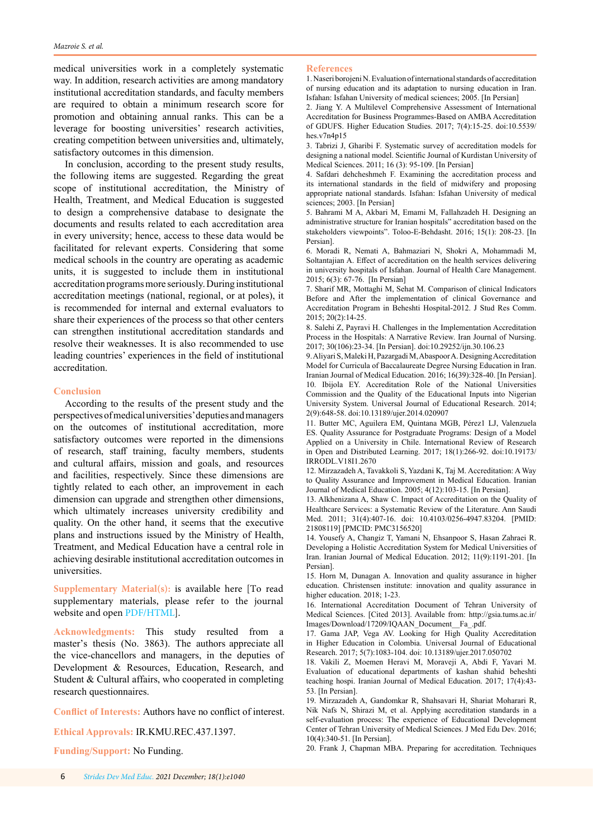<span id="page-5-0"></span>medical universities work in a completely systematic way. In addition, research activities are among mandatory institutional accreditation standards, and faculty members are required to obtain a minimum research score for promotion and obtaining annual ranks. This can be a leverage for boosting universities' research activities, creating competition between universities and, ultimately, satisfactory outcomes in this dimension.

In conclusion, according to the present study results, the following items are suggested. Regarding the great scope of institutional accreditation, the Ministry of Health, Treatment, and Medical Education is suggested to design a comprehensive database to designate the documents and results related to each accreditation area in every university; hence, access to these data would be facilitated for relevant experts. Considering that some medical schools in the country are operating as academic units, it is suggested to include them in institutional accreditation programs more seriously. During institutional accreditation meetings (national, regional, or at poles), it is recommended for internal and external evaluators to share their experiences of the process so that other centers can strengthen institutional accreditation standards and resolve their weaknesses. It is also recommended to use leading countries' experiences in the field of institutional accreditation.

# **Conclusion**

According to the results of the present study and the perspectives of medical universities' deputies and managers on the outcomes of institutional accreditation, more satisfactory outcomes were reported in the dimensions of research, staff training, faculty members, students and cultural affairs, mission and goals, and resources and facilities, respectively. Since these dimensions are tightly related to each other, an improvement in each dimension can upgrade and strengthen other dimensions, which ultimately increases university credibility and quality. On the other hand, it seems that the executive plans and instructions issued by the Ministry of Health, Treatment, and Medical Education have a central role in achieving desirable institutional accreditation outcomes in universities.

**Supplementary Material(s):** is available here [To read supplementary materials, please refer to the journal website and open [PDF/HTML\]](http://sdme.kmu.ac.ir/jufile?ar_sfile=814791).

**Acknowledgments:** This study resulted from a master's thesis (No. 3863). The authors appreciate all the vice-chancellors and managers, in the deputies of Development & Resources, Education, Research, and Student & Cultural affairs, who cooperated in completing research questionnaires.

**Conflict of Interests:** Authors have no conflict of interest.

**Ethical Approvals:** IR.KMU.REC.437.1397.

**Funding/Support:** No Funding.

## **References**

1. Naseri borojeni N. Evaluation of international standards of accreditation of nursing education and its adaptation to nursing education in Iran. Isfahan: Isfahan University of medical sciences; 2005. [In Persian]

2. Jiang Y. A Multilevel Comprehensive Assessment of International Accreditation for Business Programmes-Based on AMBA Accreditation of GDUFS. Higher Education Studies. 2017; 7(4):15-25. doi:10.5539/ hes.v7n4p15

3. Tabrizi J, Gharibi F. Systematic survey of accreditation models for designing a national model. Scientific Journal of Kurdistan University of Medical Sciences. 2011; 16 (3): 95-109. [In Persian]

4. Safdari dehcheshmeh F. Examining the accreditation process and its international standards in the field of midwifery and proposing appropriate national standards. Isfahan: Isfahan University of medical sciences; 2003. [In Persian]

5. Bahrami M A, Akbari M, Emami M, Fallahzadeh H. Designing an administrative structure for Iranian hospitals" accreditation based on the stakeholders viewpoints". Toloo-E-Behdasht. 2016; 15(1): 208-23. [In Persian].

6. Moradi R, Nemati A, Bahmaziari N, Shokri A, Mohammadi M, Soltantajian A. Effect of accreditation on the health services delivering in university hospitals of Isfahan. Journal of Health Care Management. 2015; 6(3): 67-76. [In Persian]

7. Sharif MR, Mottaghi M, Sehat M. Comparison of clinical Indicators Before and After the implementation of clinical Governance and Accreditation Program in Beheshti Hospital-2012. J Stud Res Comm. 2015; 20(2):14-25.

8. Salehi Z, Payravi H. Challenges in the Implementation Accreditation Process in the Hospitals: A Narrative Review. Iran Journal of Nursing. 2017; 30(106):23-34. [In Persian]. doi:10.29252/ijn.30.106.23

9. Aliyari S, Maleki H, Pazargadi M, Abaspoor A. Designing Accreditation Model for Curricula of Baccalaureate Degree Nursing Education in Iran. Iranian Journal of Medical Education. 2016; 16(39):328-40. [In Persian]. 10. Ibijola EY. Accreditation Role of the National Universities Commission and the Quality of the Educational Inputs into Nigerian University System. Universal Journal of Educational Research. 2014; 2(9):648-58. doi:10.13189/ujer.2014.020907

11. Butter MC, Aguilera EM, Quintana MGB, Pérez1 LJ, Valenzuela ES. Quality Assurance for Postgraduate Programs: Design of a Model Applied on a University in Chile. International Review of Research in Open and Distributed Learning. 2017; 18(1):266-92. doi:10.19173/ IRRODL.V18I1.2670

12. Mirzazadeh A, Tavakkoli S, Yazdani K, Taj M. Accreditation: A Way to Quality Assurance and Improvement in Medical Education. Iranian Journal of Medical Education. 2005; 4(12):103-15. [In Persian].

13. Alkhenizana A, Shaw C. Impact of Accreditation on the Quality of Healthcare Services: a Systematic Review of the Literature. Ann Saudi Med. 2011; 31(4):407-16. doi: 10.4103/0256-4947.83204. [PMID: 21808119] [PMCID: PMC3156520]

14. Yousefy A, Changiz T, Yamani N, Ehsanpoor S, Hasan Zahraei R. Developing a Holistic Accreditation System for Medical Universities of Iran. Iranian Journal of Medical Education. 2012; 11(9):1191-201. [In Persian].

15. Horn M, Dunagan A. Innovation and quality assurance in higher education. Christensen institute: innovation and quality assurance in higher education. 2018; 1-23.

16. International Accreditation Document of Tehran University of Medical Sciences. [Cited 2013]. Available from: http://gsia.tums.ac.ir/ Images/Download/17209/IQAAN\_Document\_\_Fa\_.pdf.

17. Gama JAP, Vega AV. Looking for High Quality Accreditation in Higher Education in Colombia. Universal Journal of Educational Research. 2017; 5(7):1083-104. doi: 10.13189/ujer.2017.050702

18. Vakili Z, Moemen Heravi M, Moraveji A, Abdi F, Yavari M. Evaluation of educational departments of kashan shahid beheshti teaching hospi. Iranian Journal of Medical Education. 2017; 17(4):43- 53. [In Persian].

19. Mirzazadeh A, Gandomkar R, Shahsavari H, Shariat Moharari R, Nik Nafs N, Shirazi M, et al. Applying accreditation standards in a self-evaluation process: The experience of Educational Development Center of Tehran University of Medical Sciences. J Med Edu Dev. 2016; 10(4):340-51. [In Persian].

20. Frank J, Chapman MBA. Preparing for accreditation. Techniques